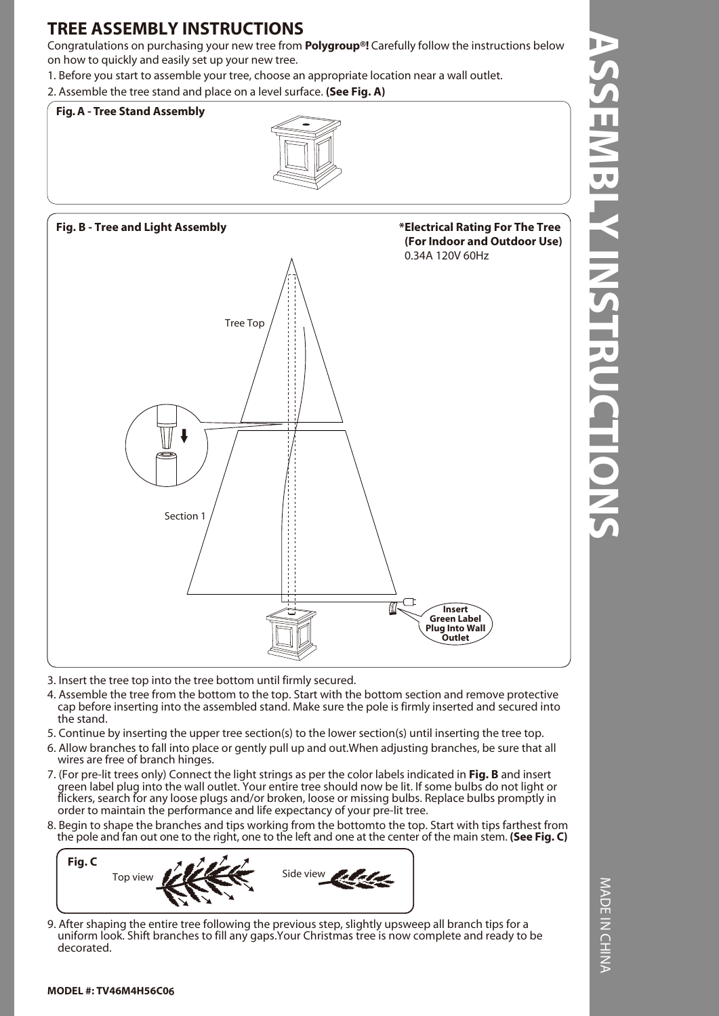# **TREE ASSEMBLY INSTRUCTIONS**

Congratulations on purchasing your new tree from **Polygroup®!** Carefully follow the instructions below on how to quickly and easily set up your new tree.

1. Before you start to assemble your tree, choose an appropriate location near a wall outlet.

2. Assemble the tree stand and place on a level surface. **(See Fig. A)**





- 3. Insert the tree top into the tree bottom until firmly secured.
- 4. Assemble the tree from the bottom to the top. Start with the bottom section and remove protective cap before inserting into the assembled stand. Make sure the pole is firmly inserted and secured into the stand.
- 5. Continue by inserting the upper tree section(s) to the lower section(s) until inserting the tree top.
- 6. Allow branches to fall into place or gently pull up and out.When adjusting branches, be sure that all wires are free of branch hinges.
- 7. (For pre-lit trees only) Connect the light strings as per the color labels indicated in **Fig. B** and insert green label plug into the wall outlet. Your entire tree should now be lit. If some bulbs do not light or flickers, search for any loose plugs and/or broken, loose or missing bulbs. Replace bulbs promptly in order to maintain the performance and life expectancy of your pre-lit tree.
- 8. Begin to shape the branches and tips working from the bottomto the top. Start with tips farthest from the pole and fan out one to the right, one to the left and one at the center of the main stem. **(See Fig. C)**



9. After shaping the entire tree following the previous step, slightly upsweep all branch tips for a uniform look. Shift branches to fill any gaps.Your Christmas tree is now complete and ready to be decorated.